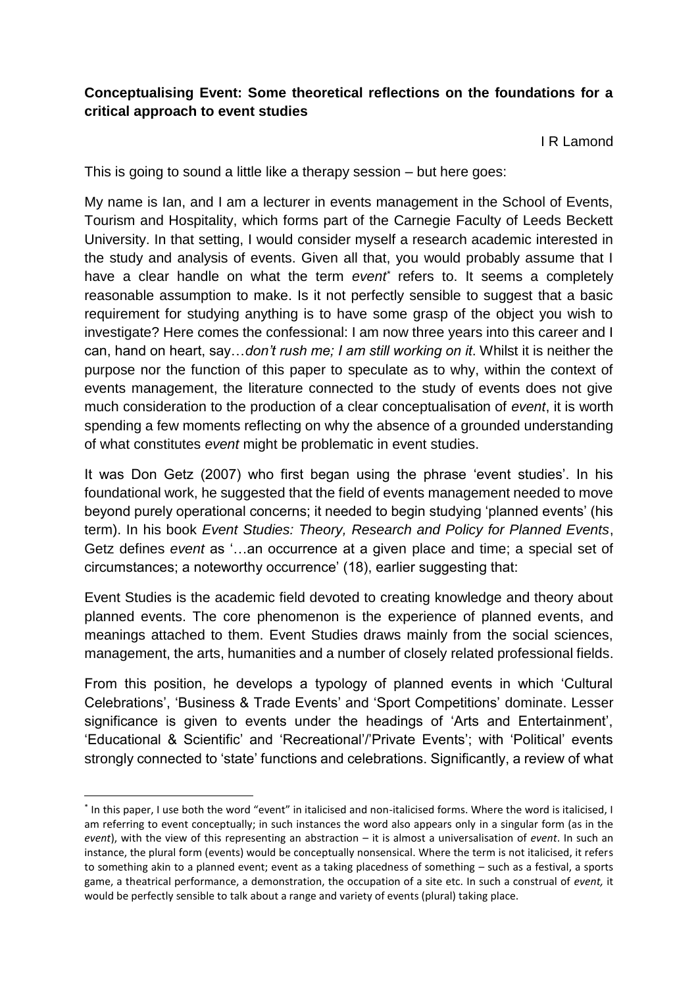## **Conceptualising Event: Some theoretical reflections on the foundations for a critical approach to event studies**

I R Lamond

This is going to sound a little like a therapy session – but here goes:

My name is Ian, and I am a lecturer in events management in the School of Events, Tourism and Hospitality, which forms part of the Carnegie Faculty of Leeds Beckett University. In that setting, I would consider myself a research academic interested in the study and analysis of events. Given all that, you would probably assume that I have a clear handle on what the term *event\** refers to. It seems a completely reasonable assumption to make. Is it not perfectly sensible to suggest that a basic requirement for studying anything is to have some grasp of the object you wish to investigate? Here comes the confessional: I am now three years into this career and I can, hand on heart, say…*don't rush me; I am still working on it*. Whilst it is neither the purpose nor the function of this paper to speculate as to why, within the context of events management, the literature connected to the study of events does not give much consideration to the production of a clear conceptualisation of *event*, it is worth spending a few moments reflecting on why the absence of a grounded understanding of what constitutes *event* might be problematic in event studies.

It was Don Getz (2007) who first began using the phrase 'event studies'. In his foundational work, he suggested that the field of events management needed to move beyond purely operational concerns; it needed to begin studying 'planned events' (his term). In his book *Event Studies: Theory, Research and Policy for Planned Events*, Getz defines *event* as '…an occurrence at a given place and time; a special set of circumstances; a noteworthy occurrence' (18), earlier suggesting that:

Event Studies is the academic field devoted to creating knowledge and theory about planned events. The core phenomenon is the experience of planned events, and meanings attached to them. Event Studies draws mainly from the social sciences, management, the arts, humanities and a number of closely related professional fields.

From this position, he develops a typology of planned events in which 'Cultural Celebrations', 'Business & Trade Events' and 'Sport Competitions' dominate. Lesser significance is given to events under the headings of 'Arts and Entertainment', 'Educational & Scientific' and 'Recreational'/'Private Events'; with 'Political' events strongly connected to 'state' functions and celebrations. Significantly, a review of what

 $\overline{a}$ 

<sup>\*</sup> In this paper, I use both the word "event" in italicised and non-italicised forms. Where the word is italicised, I am referring to event conceptually; in such instances the word also appears only in a singular form (as in the *event*), with the view of this representing an abstraction – it is almost a universalisation of *event*. In such an instance, the plural form (events) would be conceptually nonsensical. Where the term is not italicised, it refers to something akin to a planned event; event as a taking placedness of something – such as a festival, a sports game, a theatrical performance, a demonstration, the occupation of a site etc. In such a construal of *event,* it would be perfectly sensible to talk about a range and variety of events (plural) taking place.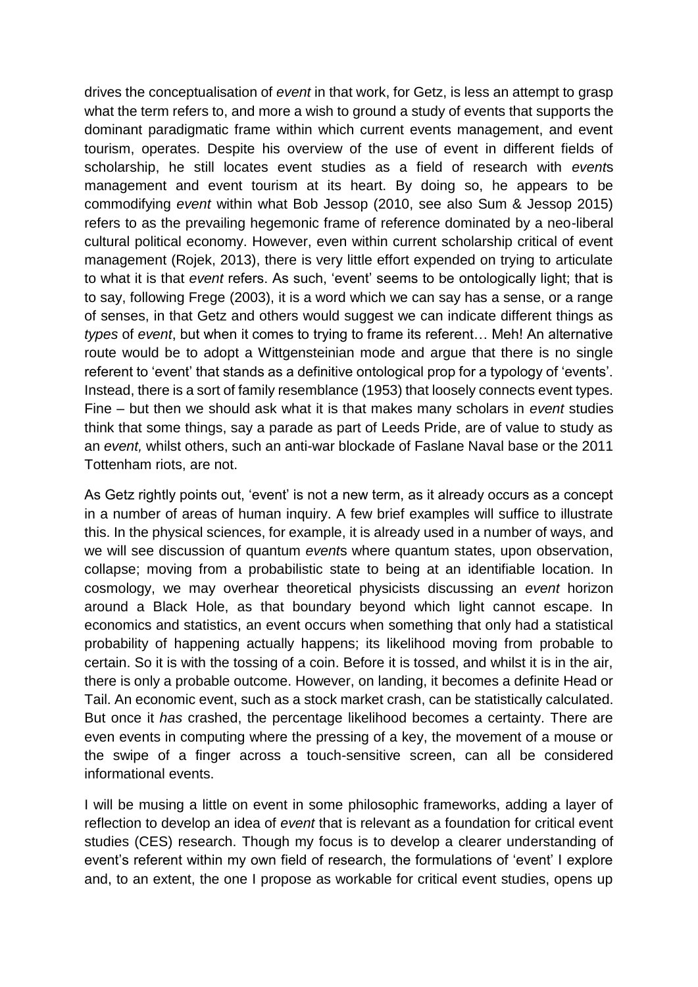drives the conceptualisation of *event* in that work, for Getz, is less an attempt to grasp what the term refers to, and more a wish to ground a study of events that supports the dominant paradigmatic frame within which current events management, and event tourism, operates. Despite his overview of the use of event in different fields of scholarship, he still locates event studies as a field of research with *event*s management and event tourism at its heart. By doing so, he appears to be commodifying *event* within what Bob Jessop (2010, see also Sum & Jessop 2015) refers to as the prevailing hegemonic frame of reference dominated by a neo-liberal cultural political economy. However, even within current scholarship critical of event management (Rojek, 2013), there is very little effort expended on trying to articulate to what it is that *event* refers. As such, 'event' seems to be ontologically light; that is to say, following Frege (2003), it is a word which we can say has a sense, or a range of senses, in that Getz and others would suggest we can indicate different things as *types* of *event*, but when it comes to trying to frame its referent… Meh! An alternative route would be to adopt a Wittgensteinian mode and argue that there is no single referent to 'event' that stands as a definitive ontological prop for a typology of 'events'. Instead, there is a sort of family resemblance (1953) that loosely connects event types. Fine – but then we should ask what it is that makes many scholars in *event* studies think that some things, say a parade as part of Leeds Pride, are of value to study as an *event,* whilst others, such an anti-war blockade of Faslane Naval base or the 2011 Tottenham riots, are not.

As Getz rightly points out, 'event' is not a new term, as it already occurs as a concept in a number of areas of human inquiry. A few brief examples will suffice to illustrate this. In the physical sciences, for example, it is already used in a number of ways, and we will see discussion of quantum *event*s where quantum states, upon observation, collapse; moving from a probabilistic state to being at an identifiable location. In cosmology, we may overhear theoretical physicists discussing an *event* horizon around a Black Hole, as that boundary beyond which light cannot escape. In economics and statistics, an event occurs when something that only had a statistical probability of happening actually happens; its likelihood moving from probable to certain. So it is with the tossing of a coin. Before it is tossed, and whilst it is in the air, there is only a probable outcome. However, on landing, it becomes a definite Head or Tail. An economic event, such as a stock market crash, can be statistically calculated. But once it *has* crashed, the percentage likelihood becomes a certainty. There are even events in computing where the pressing of a key, the movement of a mouse or the swipe of a finger across a touch-sensitive screen, can all be considered informational events.

I will be musing a little on event in some philosophic frameworks, adding a layer of reflection to develop an idea of *event* that is relevant as a foundation for critical event studies (CES) research. Though my focus is to develop a clearer understanding of event's referent within my own field of research, the formulations of 'event' I explore and, to an extent, the one I propose as workable for critical event studies, opens up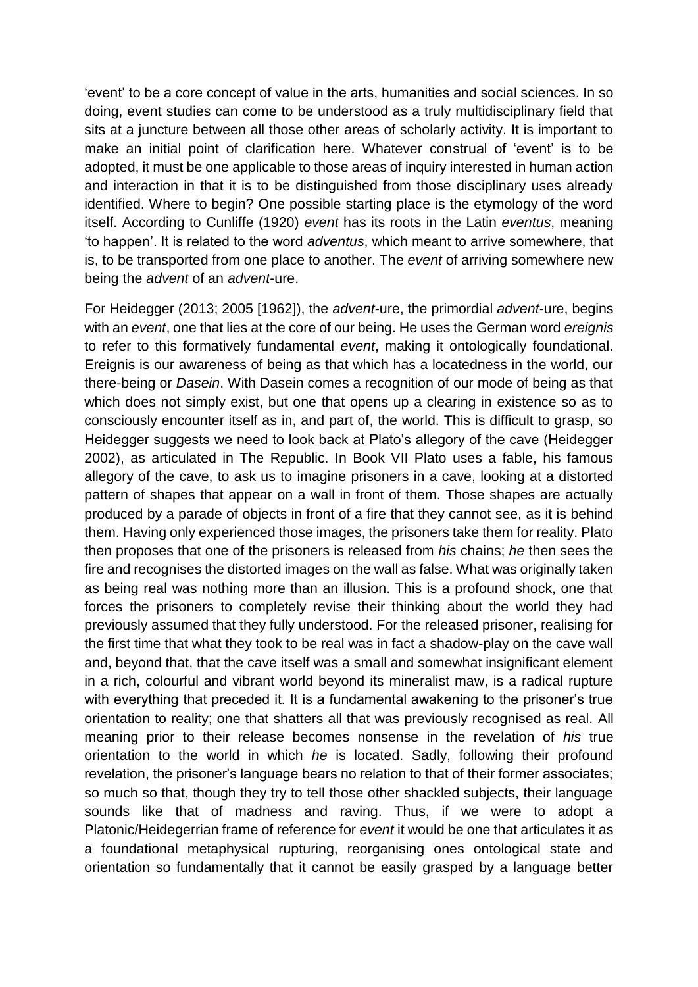'event' to be a core concept of value in the arts, humanities and social sciences. In so doing, event studies can come to be understood as a truly multidisciplinary field that sits at a juncture between all those other areas of scholarly activity. It is important to make an initial point of clarification here. Whatever construal of 'event' is to be adopted, it must be one applicable to those areas of inquiry interested in human action and interaction in that it is to be distinguished from those disciplinary uses already identified. Where to begin? One possible starting place is the etymology of the word itself. According to Cunliffe (1920) *event* has its roots in the Latin *eventus*, meaning 'to happen'. It is related to the word *adventus*, which meant to arrive somewhere, that is, to be transported from one place to another. The *event* of arriving somewhere new being the *advent* of an *advent*-ure.

For Heidegger (2013; 2005 [1962]), the *advent*-ure, the primordial *advent*-ure, begins with an *event*, one that lies at the core of our being. He uses the German word *ereignis* to refer to this formatively fundamental *event*, making it ontologically foundational. Ereignis is our awareness of being as that which has a locatedness in the world, our there-being or *Dasein*. With Dasein comes a recognition of our mode of being as that which does not simply exist, but one that opens up a clearing in existence so as to consciously encounter itself as in, and part of, the world. This is difficult to grasp, so Heidegger suggests we need to look back at Plato's allegory of the cave (Heidegger 2002), as articulated in The Republic. In Book VII Plato uses a fable, his famous allegory of the cave, to ask us to imagine prisoners in a cave, looking at a distorted pattern of shapes that appear on a wall in front of them. Those shapes are actually produced by a parade of objects in front of a fire that they cannot see, as it is behind them. Having only experienced those images, the prisoners take them for reality. Plato then proposes that one of the prisoners is released from *his* chains; *he* then sees the fire and recognises the distorted images on the wall as false. What was originally taken as being real was nothing more than an illusion. This is a profound shock, one that forces the prisoners to completely revise their thinking about the world they had previously assumed that they fully understood. For the released prisoner, realising for the first time that what they took to be real was in fact a shadow-play on the cave wall and, beyond that, that the cave itself was a small and somewhat insignificant element in a rich, colourful and vibrant world beyond its mineralist maw, is a radical rupture with everything that preceded it. It is a fundamental awakening to the prisoner's true orientation to reality; one that shatters all that was previously recognised as real. All meaning prior to their release becomes nonsense in the revelation of *his* true orientation to the world in which *he* is located. Sadly, following their profound revelation, the prisoner's language bears no relation to that of their former associates; so much so that, though they try to tell those other shackled subjects, their language sounds like that of madness and raving. Thus, if we were to adopt a Platonic/Heidegerrian frame of reference for *event* it would be one that articulates it as a foundational metaphysical rupturing, reorganising ones ontological state and orientation so fundamentally that it cannot be easily grasped by a language better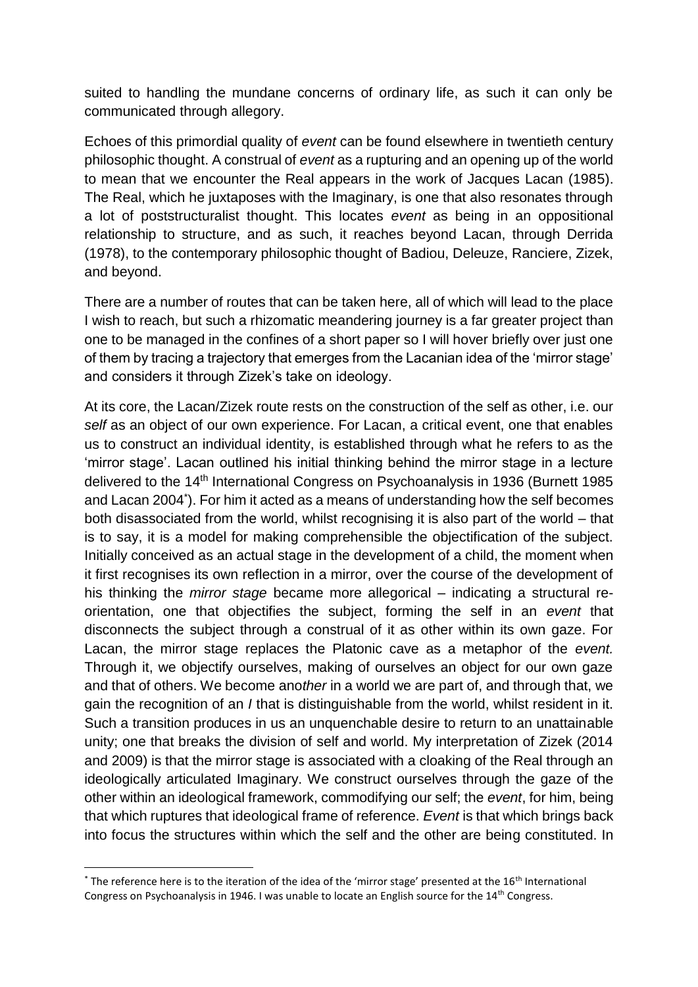suited to handling the mundane concerns of ordinary life, as such it can only be communicated through allegory.

Echoes of this primordial quality of *event* can be found elsewhere in twentieth century philosophic thought. A construal of *event* as a rupturing and an opening up of the world to mean that we encounter the Real appears in the work of Jacques Lacan (1985). The Real, which he juxtaposes with the Imaginary, is one that also resonates through a lot of poststructuralist thought. This locates *event* as being in an oppositional relationship to structure, and as such, it reaches beyond Lacan, through Derrida (1978), to the contemporary philosophic thought of Badiou, Deleuze, Ranciere, Zizek, and beyond.

There are a number of routes that can be taken here, all of which will lead to the place I wish to reach, but such a rhizomatic meandering journey is a far greater project than one to be managed in the confines of a short paper so I will hover briefly over just one of them by tracing a trajectory that emerges from the Lacanian idea of the 'mirror stage' and considers it through Zizek's take on ideology.

At its core, the Lacan/Zizek route rests on the construction of the self as other, i.e. our *self* as an object of our own experience. For Lacan, a critical event, one that enables us to construct an individual identity, is established through what he refers to as the 'mirror stage'. Lacan outlined his initial thinking behind the mirror stage in a lecture delivered to the 14th International Congress on Psychoanalysis in 1936 (Burnett 1985 and Lacan 2004\* ). For him it acted as a means of understanding how the self becomes both disassociated from the world, whilst recognising it is also part of the world – that is to say, it is a model for making comprehensible the objectification of the subject. Initially conceived as an actual stage in the development of a child, the moment when it first recognises its own reflection in a mirror, over the course of the development of his thinking the *mirror stage* became more allegorical – indicating a structural reorientation, one that objectifies the subject, forming the self in an *event* that disconnects the subject through a construal of it as other within its own gaze. For Lacan, the mirror stage replaces the Platonic cave as a metaphor of the *event.*  Through it, we objectify ourselves, making of ourselves an object for our own gaze and that of others. We become ano*ther* in a world we are part of, and through that, we gain the recognition of an *I* that is distinguishable from the world, whilst resident in it. Such a transition produces in us an unquenchable desire to return to an unattainable unity; one that breaks the division of self and world. My interpretation of Zizek (2014 and 2009) is that the mirror stage is associated with a cloaking of the Real through an ideologically articulated Imaginary. We construct ourselves through the gaze of the other within an ideological framework, commodifying our self; the *event*, for him, being that which ruptures that ideological frame of reference. *Event* is that which brings back into focus the structures within which the self and the other are being constituted. In

1

 $*$  The reference here is to the iteration of the idea of the 'mirror stage' presented at the 16<sup>th</sup> International Congress on Psychoanalysis in 1946. I was unable to locate an English source for the 14th Congress.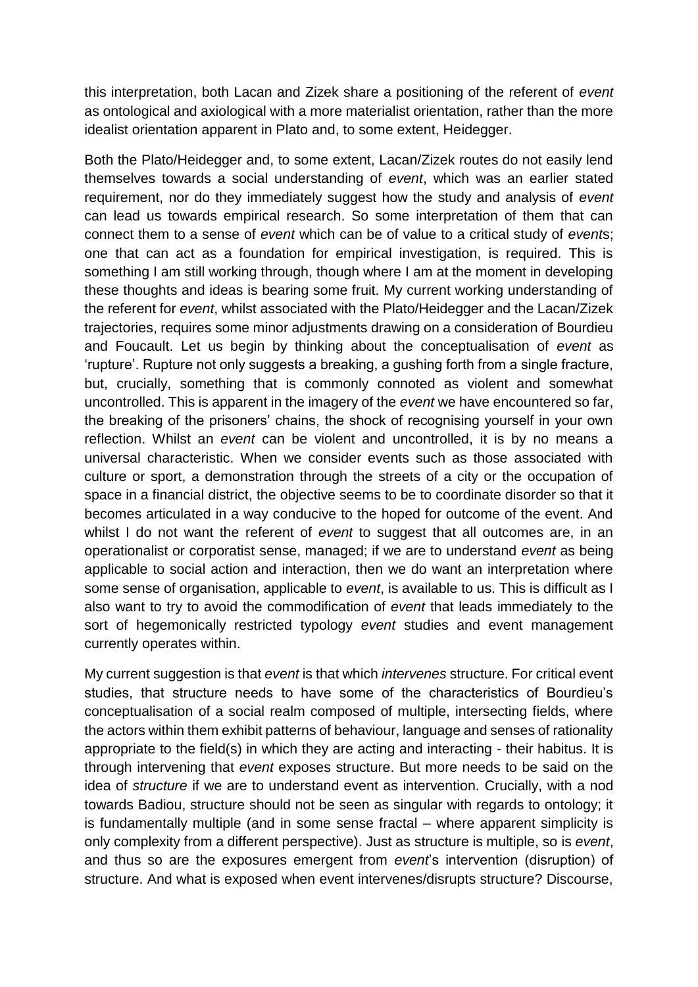this interpretation, both Lacan and Zizek share a positioning of the referent of *event* as ontological and axiological with a more materialist orientation, rather than the more idealist orientation apparent in Plato and, to some extent, Heidegger.

Both the Plato/Heidegger and, to some extent, Lacan/Zizek routes do not easily lend themselves towards a social understanding of *event*, which was an earlier stated requirement, nor do they immediately suggest how the study and analysis of *event*  can lead us towards empirical research. So some interpretation of them that can connect them to a sense of *event* which can be of value to a critical study of *event*s; one that can act as a foundation for empirical investigation, is required. This is something I am still working through, though where I am at the moment in developing these thoughts and ideas is bearing some fruit. My current working understanding of the referent for *event*, whilst associated with the Plato/Heidegger and the Lacan/Zizek trajectories, requires some minor adjustments drawing on a consideration of Bourdieu and Foucault. Let us begin by thinking about the conceptualisation of *event* as 'rupture'. Rupture not only suggests a breaking, a gushing forth from a single fracture, but, crucially, something that is commonly connoted as violent and somewhat uncontrolled. This is apparent in the imagery of the *event* we have encountered so far, the breaking of the prisoners' chains, the shock of recognising yourself in your own reflection. Whilst an *event* can be violent and uncontrolled, it is by no means a universal characteristic. When we consider events such as those associated with culture or sport, a demonstration through the streets of a city or the occupation of space in a financial district, the objective seems to be to coordinate disorder so that it becomes articulated in a way conducive to the hoped for outcome of the event. And whilst I do not want the referent of *event* to suggest that all outcomes are, in an operationalist or corporatist sense, managed; if we are to understand *event* as being applicable to social action and interaction, then we do want an interpretation where some sense of organisation, applicable to *event*, is available to us. This is difficult as I also want to try to avoid the commodification of *event* that leads immediately to the sort of hegemonically restricted typology *event* studies and event management currently operates within.

My current suggestion is that *event* is that which *intervenes* structure. For critical event studies, that structure needs to have some of the characteristics of Bourdieu's conceptualisation of a social realm composed of multiple, intersecting fields, where the actors within them exhibit patterns of behaviour, language and senses of rationality appropriate to the field(s) in which they are acting and interacting - their habitus. It is through intervening that *event* exposes structure. But more needs to be said on the idea of *structure* if we are to understand event as intervention. Crucially, with a nod towards Badiou, structure should not be seen as singular with regards to ontology; it is fundamentally multiple (and in some sense fractal – where apparent simplicity is only complexity from a different perspective). Just as structure is multiple, so is *event*, and thus so are the exposures emergent from *event*'s intervention (disruption) of structure. And what is exposed when event intervenes/disrupts structure? Discourse,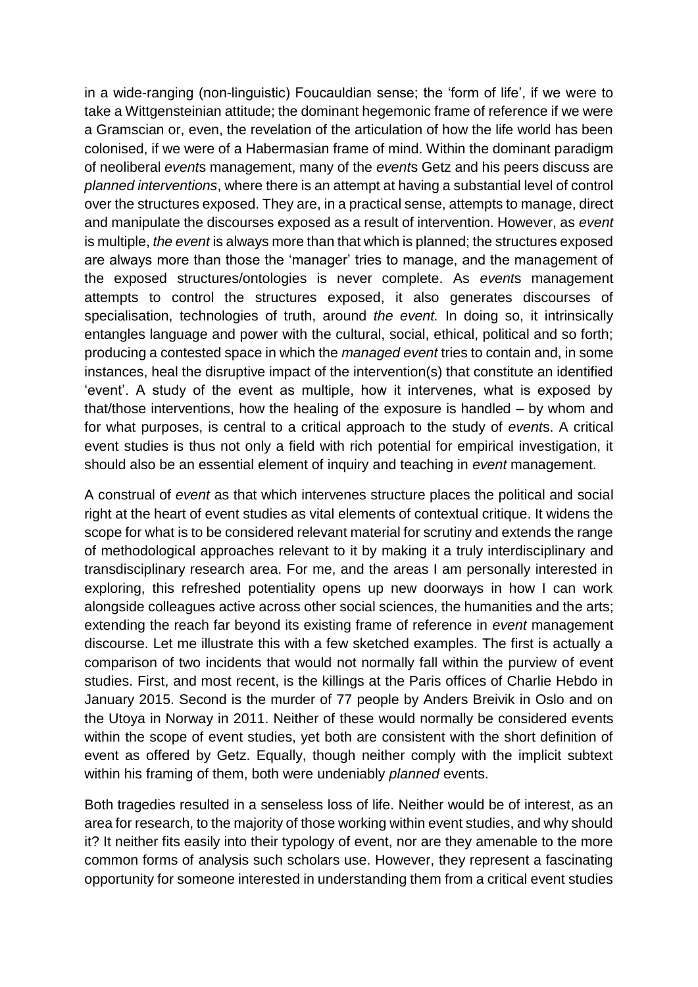in a wide-ranging (non-linguistic) Foucauldian sense; the 'form of life', if we were to take a Wittgensteinian attitude; the dominant hegemonic frame of reference if we were a Gramscian or, even, the revelation of the articulation of how the life world has been colonised, if we were of a Habermasian frame of mind. Within the dominant paradigm of neoliberal *event*s management, many of the *event*s Getz and his peers discuss are *planned interventions*, where there is an attempt at having a substantial level of control over the structures exposed. They are, in a practical sense, attempts to manage, direct and manipulate the discourses exposed as a result of intervention. However, as *event* is multiple, *the event* is always more than that which is planned; the structures exposed are always more than those the 'manager' tries to manage, and the management of the exposed structures/ontologies is never complete. As *event*s management attempts to control the structures exposed, it also generates discourses of specialisation, technologies of truth, around *the event.* In doing so, it intrinsically entangles language and power with the cultural, social, ethical, political and so forth; producing a contested space in which the *managed event* tries to contain and, in some instances, heal the disruptive impact of the intervention(s) that constitute an identified 'event'. A study of the event as multiple, how it intervenes, what is exposed by that/those interventions, how the healing of the exposure is handled – by whom and for what purposes, is central to a critical approach to the study of *event*s. A critical event studies is thus not only a field with rich potential for empirical investigation, it should also be an essential element of inquiry and teaching in *event* management.

A construal of *event* as that which intervenes structure places the political and social right at the heart of event studies as vital elements of contextual critique. It widens the scope for what is to be considered relevant material for scrutiny and extends the range of methodological approaches relevant to it by making it a truly interdisciplinary and transdisciplinary research area. For me, and the areas I am personally interested in exploring, this refreshed potentiality opens up new doorways in how I can work alongside colleagues active across other social sciences, the humanities and the arts; extending the reach far beyond its existing frame of reference in *event* management discourse. Let me illustrate this with a few sketched examples. The first is actually a comparison of two incidents that would not normally fall within the purview of event studies. First, and most recent, is the killings at the Paris offices of Charlie Hebdo in January 2015. Second is the murder of 77 people by Anders Breivik in Oslo and on the Utoya in Norway in 2011. Neither of these would normally be considered events within the scope of event studies, yet both are consistent with the short definition of event as offered by Getz. Equally, though neither comply with the implicit subtext within his framing of them, both were undeniably *planned* events.

Both tragedies resulted in a senseless loss of life. Neither would be of interest, as an area for research, to the majority of those working within event studies, and why should it? It neither fits easily into their typology of event, nor are they amenable to the more common forms of analysis such scholars use. However, they represent a fascinating opportunity for someone interested in understanding them from a critical event studies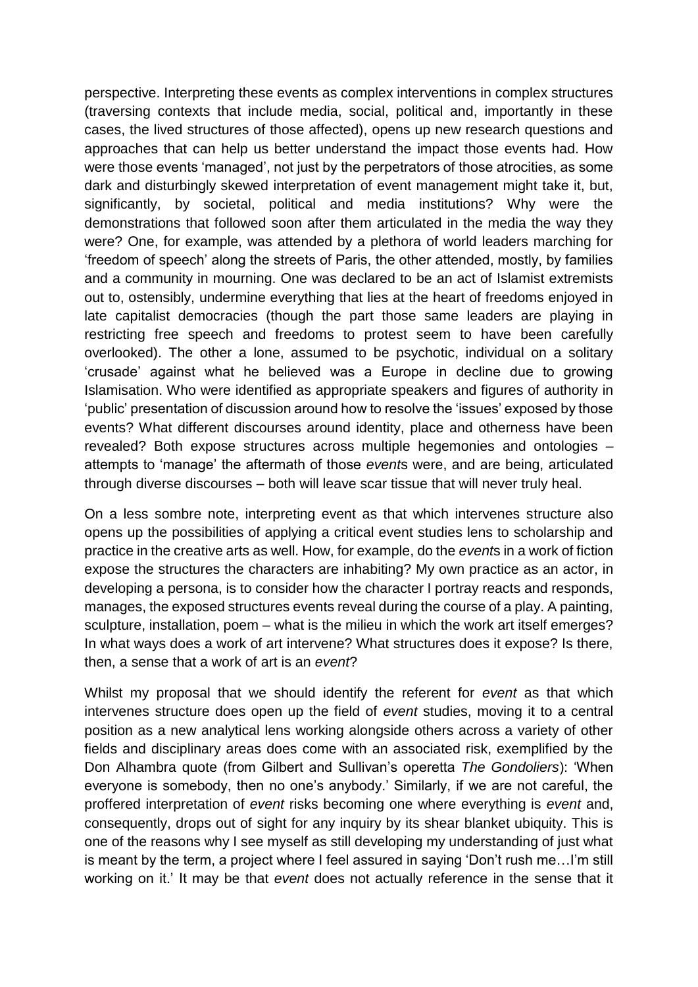perspective. Interpreting these events as complex interventions in complex structures (traversing contexts that include media, social, political and, importantly in these cases, the lived structures of those affected), opens up new research questions and approaches that can help us better understand the impact those events had. How were those events 'managed', not just by the perpetrators of those atrocities, as some dark and disturbingly skewed interpretation of event management might take it, but, significantly, by societal, political and media institutions? Why were the demonstrations that followed soon after them articulated in the media the way they were? One, for example, was attended by a plethora of world leaders marching for 'freedom of speech' along the streets of Paris, the other attended, mostly, by families and a community in mourning. One was declared to be an act of Islamist extremists out to, ostensibly, undermine everything that lies at the heart of freedoms enjoyed in late capitalist democracies (though the part those same leaders are playing in restricting free speech and freedoms to protest seem to have been carefully overlooked). The other a lone, assumed to be psychotic, individual on a solitary 'crusade' against what he believed was a Europe in decline due to growing Islamisation. Who were identified as appropriate speakers and figures of authority in 'public' presentation of discussion around how to resolve the 'issues' exposed by those events? What different discourses around identity, place and otherness have been revealed? Both expose structures across multiple hegemonies and ontologies – attempts to 'manage' the aftermath of those *event*s were, and are being, articulated through diverse discourses – both will leave scar tissue that will never truly heal.

On a less sombre note, interpreting event as that which intervenes structure also opens up the possibilities of applying a critical event studies lens to scholarship and practice in the creative arts as well. How, for example, do the *event*s in a work of fiction expose the structures the characters are inhabiting? My own practice as an actor, in developing a persona, is to consider how the character I portray reacts and responds, manages, the exposed structures events reveal during the course of a play. A painting, sculpture, installation, poem – what is the milieu in which the work art itself emerges? In what ways does a work of art intervene? What structures does it expose? Is there, then, a sense that a work of art is an *event*?

Whilst my proposal that we should identify the referent for *event* as that which intervenes structure does open up the field of *event* studies, moving it to a central position as a new analytical lens working alongside others across a variety of other fields and disciplinary areas does come with an associated risk, exemplified by the Don Alhambra quote (from Gilbert and Sullivan's operetta *The Gondoliers*): 'When everyone is somebody, then no one's anybody.' Similarly, if we are not careful, the proffered interpretation of *event* risks becoming one where everything is *event* and, consequently, drops out of sight for any inquiry by its shear blanket ubiquity. This is one of the reasons why I see myself as still developing my understanding of just what is meant by the term, a project where I feel assured in saying 'Don't rush me…I'm still working on it.' It may be that *event* does not actually reference in the sense that it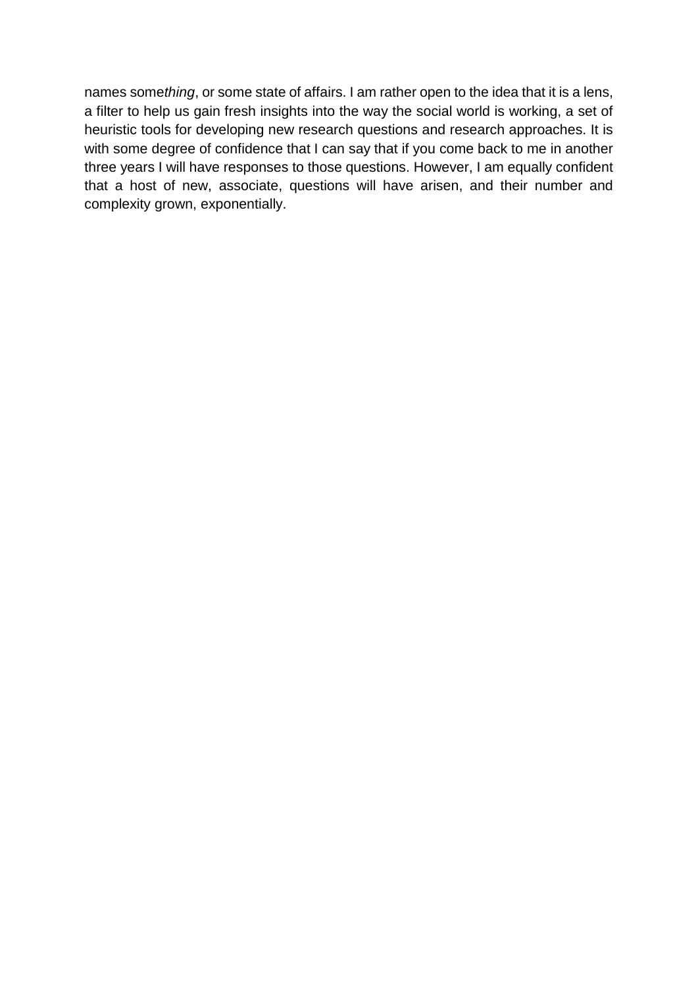names some*thing*, or some state of affairs. I am rather open to the idea that it is a lens, a filter to help us gain fresh insights into the way the social world is working, a set of heuristic tools for developing new research questions and research approaches. It is with some degree of confidence that I can say that if you come back to me in another three years I will have responses to those questions. However, I am equally confident that a host of new, associate, questions will have arisen, and their number and complexity grown, exponentially.